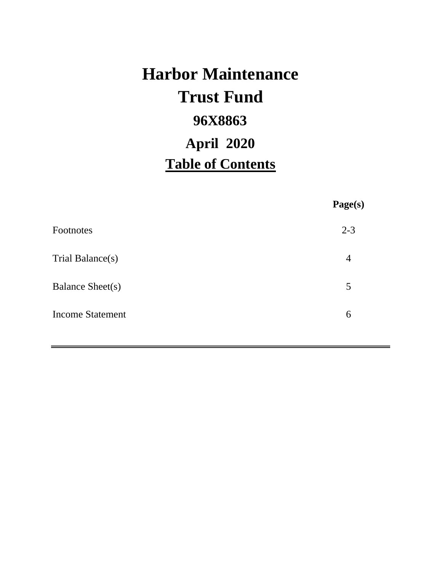# **Harbor Maintenance 96X8863 Table of Contents Trust Fund April 2020**

|                         | Page(s)        |
|-------------------------|----------------|
| Footnotes               | $2 - 3$        |
| Trial Balance(s)        | $\overline{4}$ |
| Balance Sheet(s)        | 5              |
| <b>Income Statement</b> | 6              |
|                         |                |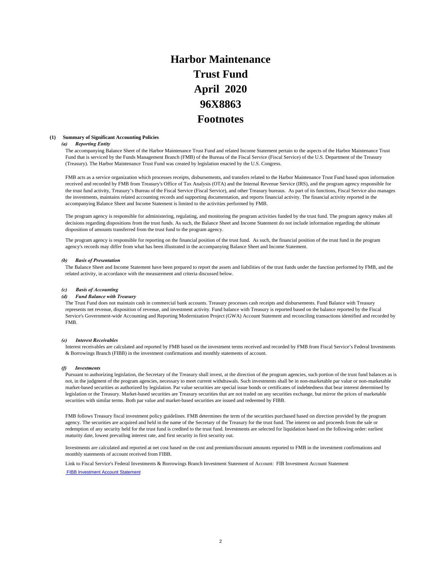# **Harbor Maintenance Trust Fund 96X8863 Footnotes April 2020**

### **(1) Summary of Significant Accounting Policies**

### *(a) Reporting Entity*

The accompanying Balance Sheet of the Harbor Maintenance Trust Fund and related Income Statement pertain to the aspects of the Harbor Maintenance Trust Fund that is serviced by the Funds Management Branch (FMB) of the Bureau of the Fiscal Service (Fiscal Service) of the U.S. Department of the Treasury (Treasury). The Harbor Maintenance Trust Fund was created by legislation enacted by the U.S. Congress.

FMB acts as a service organization which processes receipts, disbursements, and transfers related to the Harbor Maintenance Trust Fund based upon information received and recorded by FMB from Treasury's Office of Tax Analysis (OTA) and the Internal Revenue Service (IRS), and the program agency responsible for the trust fund activity, Treasury's Bureau of the Fiscal Service (Fiscal Service), and other Treasury bureaus. As part of its functions, Fiscal Service also manages the investments, maintains related accounting records and supporting documentation, and reports financial activity. The financial activity reported in the accompanying Balance Sheet and Income Statement is limited to the activities performed by FMB.

The program agency is responsible for administering, regulating, and monitoring the program activities funded by the trust fund. The program agency makes all decisions regarding dispositions from the trust funds. As such, the Balance Sheet and Income Statement do not include information regarding the ultimate disposition of amounts transferred from the trust fund to the program agency.

The program agency is responsible for reporting on the financial position of the trust fund. As such, the financial position of the trust fund in the program agency's records may differ from what has been illustrated in the accompanying Balance Sheet and Income Statement.

### *(b) Basis of Presentation*

The Balance Sheet and Income Statement have been prepared to report the assets and liabilities of the trust funds under the function performed by FMB, and the related activity, in accordance with the measurement and criteria discussed below.

### *(c) Basis of Accounting*

### *(d) Fund Balance with Treasury*

The Trust Fund does not maintain cash in commercial bank accounts. Treasury processes cash receipts and disbursements. Fund Balance with Treasury represents net revenue, disposition of revenue, and investment activity. Fund balance with Treasury is reported based on the balance reported by the Fiscal Service's Government-wide Accounting and Reporting Modernization Project (GWA) Account Statement and reconciling transactions identified and recorded by FMB.

### *(e) Interest Receivables*

Interest receivables are calculated and reported by FMB based on the investment terms received and recorded by FMB from Fiscal Service's Federal Investments & Borrowings Branch (FIBB) in the investment confirmations and monthly statements of account.

### *(f) Investments*

Pursuant to authorizing legislation, the Secretary of the Treasury shall invest, at the direction of the program agencies, such portion of the trust fund balances as is not, in the judgment of the program agencies, necessary to meet current withdrawals. Such investments shall be in non-marketable par value or non-marketable market-based securities as authorized by legislation. Par value securities are special issue bonds or certificates of indebtedness that bear interest determined by legislation or the Treasury. Market-based securities are Treasury securities that are not traded on any securities exchange, but mirror the prices of marketable securities with similar terms. Both par value and market-based securities are issued and redeemed by FIBB.

FMB follows Treasury fiscal investment policy guidelines. FMB determines the term of the securities purchased based on direction provided by the program agency. The securities are acquired and held in the name of the Secretary of the Treasury for the trust fund. The interest on and proceeds from the sale or redemption of any security held for the trust fund is credited to the trust fund. Investments are selected for liquidation based on the following order: earliest maturity date, lowest prevailing interest rate, and first security in first security out.

Investments are calculated and reported at net cost based on the cost and premium/discount amounts reported to FMB in the investment confirmations and monthly statements of account received from FIBB.

Link to Fiscal Service's Federal Investments & Borrowings Branch Investment Statement of Account: FIB Investment Account Statement FIBB Investment Account Statement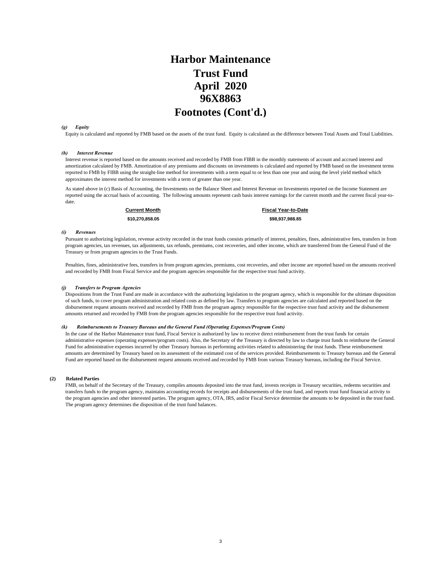## **April 2020 Harbor Maintenance Trust Fund 96X8863 Footnotes (Cont'd.)**

### *(g) Equity*

Equity is calculated and reported by FMB based on the assets of the trust fund. Equity is calculated as the difference between Total Assets and Total Liabilities.

### *(h) Interest Revenue*

Interest revenue is reported based on the amounts received and recorded by FMB from FIBB in the monthly statements of account and accrued interest and amortization calculated by FMB. Amortization of any premiums and discounts on investments is calculated and reported by FMB based on the investment terms reported to FMB by FIBB using the straight-line method for investments with a term equal to or less than one year and using the level yield method which approximates the interest method for investments with a term of greater than one year.

As stated above in (c) Basis of Accounting, the Investments on the Balance Sheet and Interest Revenue on Investments reported on the Income Statement are reported using the accrual basis of accounting. The following amounts represent cash basis interest earnings for the current month and the current fiscal year-todate.

**\$10,270,858.05 \$98,937,988.85 Current Month Fiscal Year-to-Date**

### *(i) Revenues*

Pursuant to authorizing legislation, revenue activity recorded in the trust funds consists primarily of interest, penalties, fines, administrative fees, transfers in from program agencies, tax revenues, tax adjustments, tax refunds, premiums, cost recoveries, and other income, which are transferred from the General Fund of the Treasury or from program agencies to the Trust Funds.

Penalties, fines, administrative fees, transfers in from program agencies, premiums, cost recoveries, and other income are reported based on the amounts received and recorded by FMB from Fiscal Service and the program agencies responsible for the respective trust fund activity.

### *(j) Transfers to Program Agencies*

Dispositions from the Trust Fund are made in accordance with the authorizing legislation to the program agency, which is responsible for the ultimate disposition of such funds, to cover program administration and related costs as defined by law. Transfers to program agencies are calculated and reported based on the disbursement request amounts received and recorded by FMB from the program agency responsible for the respective trust fund activity and the disbursement amounts returned and recorded by FMB from the program agencies responsible for the respective trust fund activity.

### *(k) Reimbursements to Treasury Bureaus and the General Fund (Operating Expenses/Program Costs)*

In the case of the Harbor Maintenance trust fund, Fiscal Service is authorized by law to receive direct reimbursement from the trust funds for certain administrative expenses (operating expenses/program costs). Also, the Secretary of the Treasury is directed by law to charge trust funds to reimburse the General Fund for administrative expenses incurred by other Treasury bureaus in performing activities related to administering the trust funds. These reimbursement amounts are determined by Treasury based on its assessment of the estimated cost of the services provided. Reimbursements to Treasury bureaus and the General Fund are reported based on the disbursement request amounts received and recorded by FMB from various Treasury bureaus, including the Fiscal Service.

### **(2) Related Parties**

FMB, on behalf of the Secretary of the Treasury, compiles amounts deposited into the trust fund, invests receipts in Treasury securities, redeems securities and transfers funds to the program agency, maintains accounting records for receipts and disbursements of the trust fund, and reports trust fund financial activity to the program agencies and other interested parties. The program agency, OTA, IRS, and/or Fiscal Service determine the amounts to be deposited in the trust fund. The program agency determines the disposition of the trust fund balances.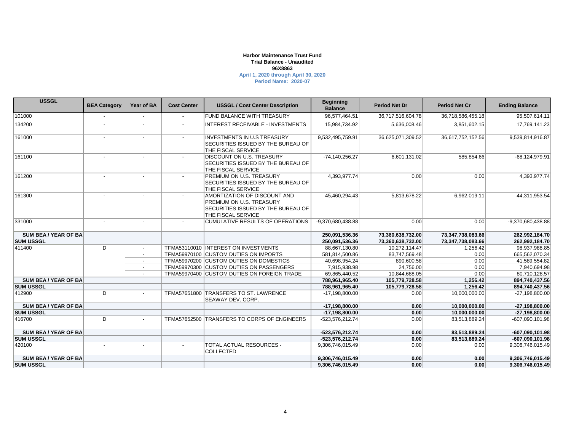### **Harbor Maintenance Trust Fund 96X8863 April 1, 2020 through April 30, 2020 Trial Balance - Unaudited**

**Period Name: 2020-07**

| <b>USSGL</b>              | <b>BEA Category</b>      | Year of BA               | <b>Cost Center</b>       | <b>USSGL / Cost Center Description</b>                                                                                      | <b>Beginning</b><br><b>Balance</b> | <b>Period Net Dr</b> | <b>Period Net Cr</b> | <b>Ending Balance</b> |
|---------------------------|--------------------------|--------------------------|--------------------------|-----------------------------------------------------------------------------------------------------------------------------|------------------------------------|----------------------|----------------------|-----------------------|
| 101000                    |                          | $\blacksquare$           |                          | <b>FUND BALANCE WITH TREASURY</b>                                                                                           | 96,577,464.51                      | 36,717,516,604.78    | 36,718,586,455.18    | 95,507,614.11         |
| 134200                    |                          | $\blacksquare$           | $\blacksquare$           | <b>INTEREST RECEIVABLE - INVESTMENTS</b>                                                                                    | 15,984,734.92                      | 5,636,008.46         | 3,851,602.15         | 17,769,141.23         |
| 161000                    |                          |                          |                          | <b>INVESTMENTS IN U.S TREASURY</b><br>SECURITIES ISSUED BY THE BUREAU OF<br><b>THE FISCAL SERVICE</b>                       | 9,532,495,759.91                   | 36,625,071,309.52    | 36,617,752,152.56    | 9,539,814,916.87      |
| 161100                    |                          |                          | $\blacksquare$           | <b>DISCOUNT ON U.S. TREASURY</b><br>SECURITIES ISSUED BY THE BUREAU OF<br>THE FISCAL SERVICE                                | $-74, 140, 256.27$                 | 6,601,131.02         | 585,854.66           | $-68, 124, 979.91$    |
| 161200                    |                          |                          |                          | <b>PREMIUM ON U.S. TREASURY</b><br><b>SECURITIES ISSUED BY THE BUREAU OF</b><br>THE FISCAL SERVICE                          | 4,393,977.74                       | 0.00                 | 0.00                 | 4,393,977.74          |
| 161300                    |                          |                          |                          | AMORTIZATION OF DISCOUNT AND<br>PREMIUM ON U.S. TREASURY<br>SECURITIES ISSUED BY THE BUREAU OF<br><b>THE FISCAL SERVICE</b> | 45,460,294.43                      | 5,813,678.22         | 6,962,019.11         | 44,311,953.54         |
| 331000                    | $\overline{\phantom{a}}$ | $\blacksquare$           | $\overline{\phantom{a}}$ | CUMULATIVE RESULTS OF OPERATIONS                                                                                            | -9,370,680,438.88                  | 0.00                 | 0.00                 | -9,370,680,438.88     |
| <b>SUM BEA/YEAR OF BA</b> |                          |                          |                          |                                                                                                                             | 250,091,536.36                     | 73,360,638,732.00    | 73,347,738,083.66    | 262,992,184.70        |
| <b>SUM USSGL</b>          |                          |                          |                          |                                                                                                                             | 250,091,536.36                     | 73,360,638,732.00    | 73,347,738,083.66    | 262,992,184.70        |
| 411400                    | D                        | $\blacksquare$           |                          | TFMA53110010 INTEREST ON INVESTMENTS                                                                                        | 88,667,130.80                      | 10,272,114.47        | 1,256.42             | 98,937,988.85         |
|                           |                          | $\sim$                   |                          | TFMA59970100 CUSTOM DUTIES ON IMPORTS                                                                                       | 581,814,500.86                     | 83,747,569.48        | 0.00                 | 665,562,070.34        |
|                           |                          | $\overline{\phantom{a}}$ |                          | TFMA59970200 CUSTOM DUTIES ON DOMESTICS                                                                                     | 40,698,954.24                      | 890,600.58           | 0.00                 | 41,589,554.82         |
|                           |                          | $\overline{\phantom{a}}$ |                          | TFMA59970300 CUSTOM DUTIES ON PASSENGERS                                                                                    | 7,915,938.98                       | 24,756.00            | 0.00                 | 7,940,694.98          |
|                           |                          |                          |                          | TFMA59970400 CUSTOM DUTIES ON FOREIGN TRADE                                                                                 | 69,865,440.52                      | 10,844,688.05        | 0.00                 | 80,710,128.57         |
| <b>SUM BEA/YEAR OF BA</b> |                          |                          |                          |                                                                                                                             | 788,961,965.40                     | 105,779,728.58       | 1,256.42             | 894,740,437.56        |
| <b>SUM USSGL</b>          |                          |                          |                          |                                                                                                                             | 788,961,965.40                     | 105,779,728.58       | 1.256.42             | 894,740,437.56        |
| 412900                    | D                        |                          |                          | TFMA57651800 TRANSFERS TO ST. LAWRENCE<br>SEAWAY DEV. CORP.                                                                 | -17,198,800.00                     | 0.00                 | 10,000,000.00        | $-27,198,800.00$      |
| SUM BEA / YEAR OF BA      |                          |                          |                          |                                                                                                                             | $-17,198,800.00$                   | 0.00                 | 10,000,000.00        | $-27,198,800.00$      |
| <b>SUM USSGL</b>          |                          |                          |                          |                                                                                                                             | $-17,198,800.00$                   | 0.00                 | 10,000,000.00        | $-27,198,800.00$      |
| 416700                    | D                        | $\overline{\phantom{0}}$ |                          | TFMA57652500 TRANSFERS TO CORPS OF ENGINEERS                                                                                | -523,576,212.74                    | 0.00                 | 83,513,889.24        | $-607,090,101.98$     |
| <b>SUM BEA/YEAR OF BA</b> |                          |                          |                          |                                                                                                                             | -523,576,212.74                    | 0.00                 | 83,513,889.24        | -607,090,101.98       |
| <b>SUM USSGL</b>          |                          |                          |                          |                                                                                                                             | -523.576.212.74                    | 0.00                 | 83,513,889.24        | $-607,090,101.98$     |
| 420100                    |                          | $\overline{\phantom{a}}$ | $\overline{\phantom{a}}$ | <b>TOTAL ACTUAL RESOURCES -</b><br><b>COLLECTED</b>                                                                         | 9,306,746,015.49                   | 0.00                 | 0.00                 | 9,306,746,015.49      |
| <b>SUM BEA/YEAR OF BA</b> |                          |                          |                          |                                                                                                                             | 9,306,746,015.49                   | 0.00                 | 0.00                 | 9,306,746,015.49      |
| <b>SUM USSGL</b>          |                          |                          |                          |                                                                                                                             | 9,306,746,015.49                   | 0.00                 | 0.00                 | 9,306,746,015.49      |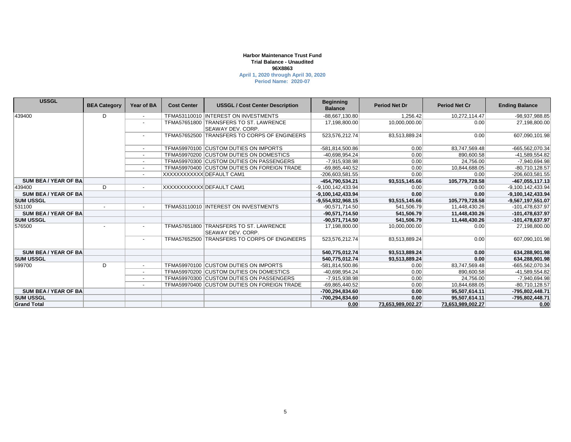### **Harbor Maintenance Trust Fund 96X8863 April 1, 2020 through April 30, 2020 Trial Balance - Unaudited**

**Period Name: 2020-07**

| <b>USSGL</b>                | <b>BEA Category</b>      | <b>Year of BA</b>        | <b>Cost Center</b> | <b>USSGL / Cost Center Description</b>                       | <b>Beginning</b><br><b>Balance</b> | <b>Period Net Dr</b> | <b>Period Net Cr</b> | <b>Ending Balance</b> |
|-----------------------------|--------------------------|--------------------------|--------------------|--------------------------------------------------------------|------------------------------------|----------------------|----------------------|-----------------------|
| 439400                      | D                        | $\sim$                   |                    | TFMA53110010 INTEREST ON INVESTMENTS                         | -88,667,130.80                     | 1.256.42             | 10.272.114.47        | -98,937,988.85        |
|                             |                          |                          | TFMA57651800       | <b>TRANSFERS TO ST. LAWRENCE</b>                             | 17,198,800.00                      | 10,000,000.00        | 0.00                 | 27,198,800.00         |
|                             |                          |                          |                    | <b>SEAWAY DEV. CORP.</b>                                     |                                    |                      |                      |                       |
|                             |                          |                          | TFMA57652500       | <b>TRANSFERS TO CORPS OF ENGINEERS</b>                       | 523,576,212.74                     | 83,513,889.24        | 0.00                 | 607,090,101.98        |
|                             |                          | $\overline{\phantom{0}}$ |                    | TFMA59970100 CUSTOM DUTIES ON IMPORTS                        | -581,814,500.86                    | 0.00                 | 83,747,569.48        | -665,562,070.34       |
|                             |                          |                          |                    | TFMA59970200 CUSTOM DUTIES ON DOMESTICS                      | -40.698.954.24                     | 0.00                 | 890.600.58           | -41,589,554.82        |
|                             |                          |                          |                    | TFMA59970300 CUSTOM DUTIES ON PASSENGERS                     | -7,915,938.98                      | 0.00                 | 24.756.00            | -7,940,694.98         |
|                             |                          |                          |                    | TFMA59970400 CUSTOM DUTIES ON FOREIGN TRADE                  | -69,865,440.52                     | 0.00                 | 10,844,688.05        | $-80,710,128.57$      |
|                             |                          |                          |                    | XXXXXXXXXXXIDEFAULT CAM1                                     | -206,603,581.55                    | 0.00                 | 0.00                 | -206,603,581.55       |
| <b>SUM BEA/YEAR OF BA</b>   |                          |                          |                    |                                                              | -454,790,534.21                    | 93,515,145.66        | 105,779,728.58       | $-467,055,117.13$     |
| 439400                      | D                        | $\overline{\phantom{a}}$ |                    | XXXXXXXXXXX DEFAULT CAM1                                     | -9,100,142,433.94                  | 0.00                 | 0.00                 | -9,100,142,433.94     |
| <b>SUM BEA / YEAR OF BA</b> |                          |                          |                    |                                                              | -9,100,142,433.94                  | 0.00                 | 0.00                 | -9,100,142,433.94     |
| <b>SUM USSGL</b>            |                          |                          |                    |                                                              | -9,554,932,968.15                  | 93,515,145.66        | 105,779,728.58       | $-9,567,197,551.07$   |
| 531100                      |                          |                          |                    | TFMA53110010  INTEREST ON INVESTMENTS                        | $-90,571,714.50$                   | 541,506.79           | 11,448,430.26        | -101,478,637.97       |
| <b>SUM BEA / YEAR OF BA</b> |                          |                          |                    |                                                              | $-90,571,714.50$                   | 541,506.79           | 11,448,430.26        | -101,478,637.97       |
| <b>SUM USSGL</b>            |                          |                          |                    |                                                              | $-90,571,714.50$                   | 541.506.79           | 11,448,430.26        | -101,478,637.97       |
| 576500                      | $\overline{\phantom{a}}$ |                          | TFMA57651800       | <b>TRANSFERS TO ST. LAWRENCE</b><br><b>SEAWAY DEV. CORP.</b> | 17,198,800.00                      | 10,000,000.00        | 0.00                 | 27,198,800.00         |
|                             |                          | $\overline{\phantom{a}}$ | TFMA57652500       | <b>TRANSFERS TO CORPS OF ENGINEERS</b>                       | 523,576,212.74                     | 83,513,889.24        | 0.00                 | 607,090,101.98        |
| <b>SUM BEA/YEAR OF BA</b>   |                          |                          |                    |                                                              | 540,775,012.74                     | 93,513,889.24        | 0.00                 | 634,288,901.98        |
| <b>SUM USSGL</b>            |                          |                          |                    |                                                              | 540,775,012.74                     | 93,513,889.24        | 0.00                 | 634,288,901.98        |
| 599700                      | D                        |                          |                    | TFMA59970100 CUSTOM DUTIES ON IMPORTS                        | -581,814,500.86                    | 0.00                 | 83,747,569.48        | -665,562,070.34       |
|                             |                          |                          |                    | TFMA59970200 CUSTOM DUTIES ON DOMESTICS                      | -40,698,954.24                     | 0.00                 | 890,600.58           | -41,589,554.82        |
|                             |                          |                          |                    | TFMA59970300 CUSTOM DUTIES ON PASSENGERS                     | -7,915,938.98                      | 0.00                 | 24,756.00            | -7,940,694.98         |
|                             |                          | $\overline{\phantom{a}}$ |                    | TFMA59970400 CUSTOM DUTIES ON FOREIGN TRADE                  | -69,865,440.52                     | 0.00                 | 10,844,688.05        | $-80,710,128.57$      |
| <b>SUM BEA / YEAR OF BA</b> |                          |                          |                    |                                                              | -700,294,834.60                    | 0.00                 | 95,507,614.11        | -795,802,448.71       |
| <b>SUM USSGL</b>            |                          |                          |                    |                                                              | -700.294.834.60                    | 0.00                 | 95,507,614.11        | -795,802,448.71       |
| <b>Grand Total</b>          |                          |                          |                    |                                                              | 0.00                               | 73,653,989,002.27    | 73.653.989.002.27    | 0.00                  |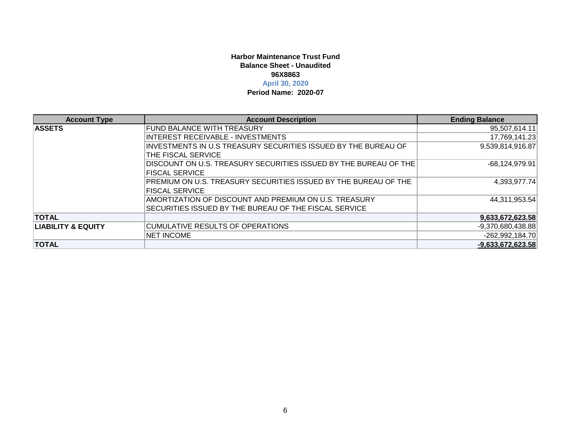### **Harbor Maintenance Trust Fund96X8863April 30, 2020 Balance Sheet - Unaudited**

### **Period Name: 2020-07**

| <b>Account Type</b>           | <b>Account Description</b>                                       | <b>Ending Balance</b> |
|-------------------------------|------------------------------------------------------------------|-----------------------|
| <b>ASSETS</b>                 | FUND BALANCE WITH TREASURY                                       | 95,507,614.11         |
|                               | INTEREST RECEIVABLE - INVESTMENTS                                | 17,769,141.23         |
|                               | INVESTMENTS IN U.S TREASURY SECURITIES ISSUED BY THE BUREAU OF   | 9,539,814,916.87      |
|                               | THE FISCAL SERVICE                                               |                       |
|                               | DISCOUNT ON U.S. TREASURY SECURITIES ISSUED BY THE BUREAU OF THE | $-68,124,979.91$      |
|                               | <b>IFISCAL SERVICE</b>                                           |                       |
|                               | PREMIUM ON U.S. TREASURY SECURITIES ISSUED BY THE BUREAU OF THE  | 4.393.977.74          |
|                               | <b>FISCAL SERVICE</b>                                            |                       |
|                               | AMORTIZATION OF DISCOUNT AND PREMIUM ON U.S. TREASURY            | 44,311,953.54         |
|                               | SECURITIES ISSUED BY THE BUREAU OF THE FISCAL SERVICE            |                       |
| <b>TOTAL</b>                  |                                                                  | 9,633,672,623.58      |
| <b>LIABILITY &amp; EQUITY</b> | <b>CUMULATIVE RESULTS OF OPERATIONS</b>                          | $-9,370,680,438.88$   |
|                               | <b>NET INCOME</b>                                                | $-262,992,184.70$     |
| <b>TOTAL</b>                  |                                                                  | $-9,633,672,623.58$   |